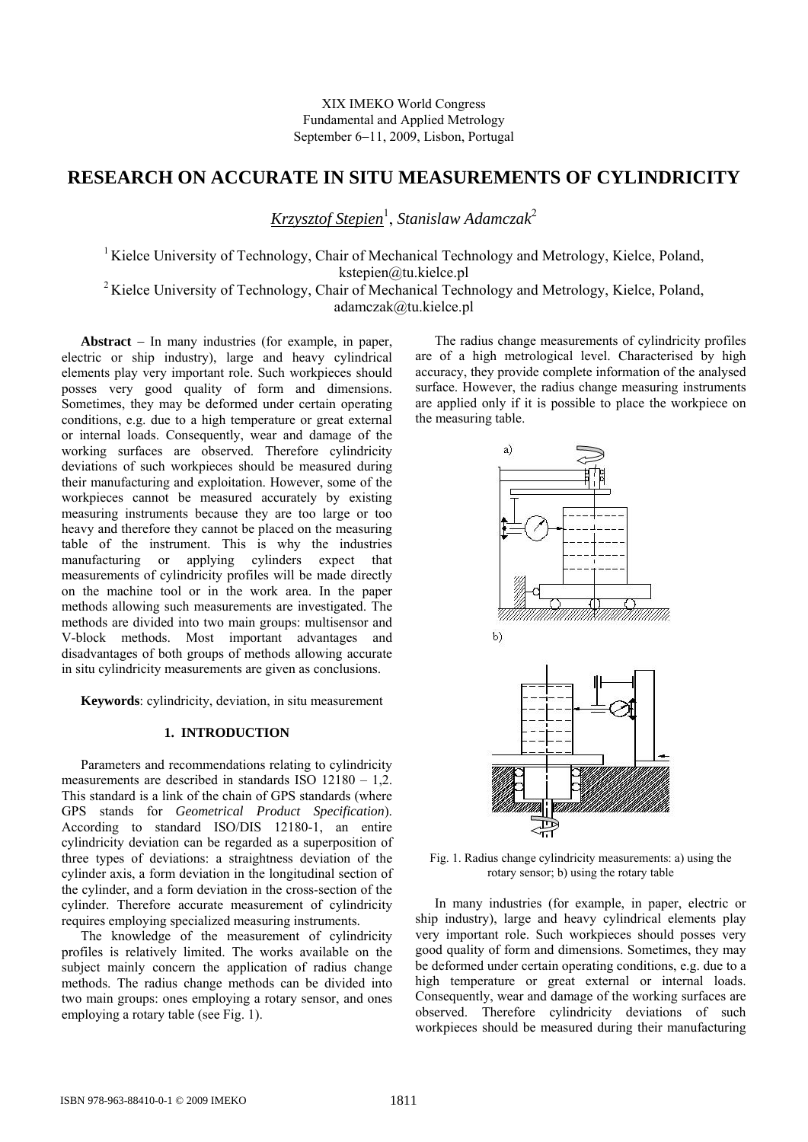# **RESEARCH ON ACCURATE IN SITU MEASUREMENTS OF CYLINDRICITY**

*Krzysztof Stepien*<sup>1</sup> , *Stanislaw Adamczak*<sup>2</sup>

<sup>1</sup> Kielce University of Technology, Chair of Mechanical Technology and Metrology, Kielce, Poland, kstepien@tu.kielce.pl <sup>2</sup> Kielce University of Technology, Chair of Mechanical Technology and Metrology, Kielce, Poland,

adamczak@tu.kielce.pl

**Abstract** − In many industries (for example, in paper, electric or ship industry), large and heavy cylindrical elements play very important role. Such workpieces should posses very good quality of form and dimensions. Sometimes, they may be deformed under certain operating conditions, e.g. due to a high temperature or great external or internal loads. Consequently, wear and damage of the working surfaces are observed. Therefore cylindricity deviations of such workpieces should be measured during their manufacturing and exploitation. However, some of the workpieces cannot be measured accurately by existing measuring instruments because they are too large or too heavy and therefore they cannot be placed on the measuring table of the instrument. This is why the industries manufacturing or applying cylinders expect that measurements of cylindricity profiles will be made directly on the machine tool or in the work area. In the paper methods allowing such measurements are investigated. The methods are divided into two main groups: multisensor and V-block methods. Most important advantages and disadvantages of both groups of methods allowing accurate in situ cylindricity measurements are given as conclusions.

**Keywords**: cylindricity, deviation, in situ measurement

## **1. INTRODUCTION**

Parameters and recommendations relating to cylindricity measurements are described in standards ISO 12180 – 1,2. This standard is a link of the chain of GPS standards (where GPS stands for *Geometrical Product Specification*). According to standard ISO/DIS 12180-1, an entire cylindricity deviation can be regarded as a superposition of three types of deviations: a straightness deviation of the cylinder axis, a form deviation in the longitudinal section of the cylinder, and a form deviation in the cross-section of the cylinder. Therefore accurate measurement of cylindricity requires employing specialized measuring instruments.

The knowledge of the measurement of cylindricity profiles is relatively limited. The works available on the subject mainly concern the application of radius change methods. The radius change methods can be divided into two main groups: ones employing a rotary sensor, and ones employing a rotary table (see Fig. 1).

The radius change measurements of cylindricity profiles are of a high metrological level. Characterised by high accuracy, they provide complete information of the analysed surface. However, the radius change measuring instruments are applied only if it is possible to place the workpiece on the measuring table.



Fig. 1. Radius change cylindricity measurements: a) using the rotary sensor; b) using the rotary table

In many industries (for example, in paper, electric or ship industry), large and heavy cylindrical elements play very important role. Such workpieces should posses very good quality of form and dimensions. Sometimes, they may be deformed under certain operating conditions, e.g. due to a high temperature or great external or internal loads. Consequently, wear and damage of the working surfaces are observed. Therefore cylindricity deviations of such workpieces should be measured during their manufacturing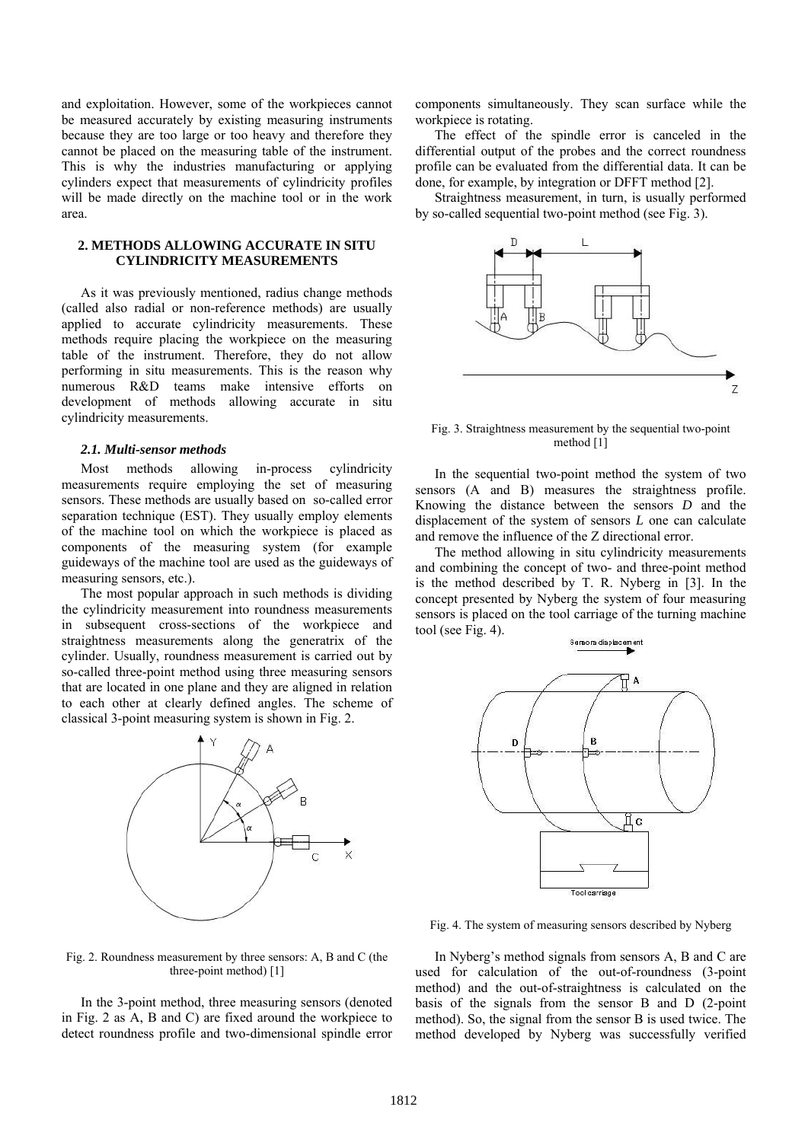and exploitation. However, some of the workpieces cannot be measured accurately by existing measuring instruments because they are too large or too heavy and therefore they cannot be placed on the measuring table of the instrument. This is why the industries manufacturing or applying cylinders expect that measurements of cylindricity profiles will be made directly on the machine tool or in the work area.

## **2. METHODS ALLOWING ACCURATE IN SITU CYLINDRICITY MEASUREMENTS**

As it was previously mentioned, radius change methods (called also radial or non-reference methods) are usually applied to accurate cylindricity measurements. These methods require placing the workpiece on the measuring table of the instrument. Therefore, they do not allow performing in situ measurements. This is the reason why numerous R&D teams make intensive efforts on development of methods allowing accurate in situ cylindricity measurements.

#### *2.1. Multi-sensor methods*

Most methods allowing in-process cylindricity measurements require employing the set of measuring sensors. These methods are usually based on so-called error separation technique (EST). They usually employ elements of the machine tool on which the workpiece is placed as components of the measuring system (for example guideways of the machine tool are used as the guideways of measuring sensors, etc.).

The most popular approach in such methods is dividing the cylindricity measurement into roundness measurements in subsequent cross-sections of the workpiece and straightness measurements along the generatrix of the cylinder. Usually, roundness measurement is carried out by so-called three-point method using three measuring sensors that are located in one plane and they are aligned in relation to each other at clearly defined angles. The scheme of classical 3-point measuring system is shown in Fig. 2.



components simultaneously. They scan surface while the workpiece is rotating.

The effect of the spindle error is canceled in the differential output of the probes and the correct roundness profile can be evaluated from the differential data. It can be done, for example, by integration or DFFT method [2].

Straightness measurement, in turn, is usually performed by so-called sequential two-point method (see Fig. 3).



Fig. 3. Straightness measurement by the sequential two-point method [1]

In the sequential two-point method the system of two sensors (A and B) measures the straightness profile. Knowing the distance between the sensors *D* and the displacement of the system of sensors *L* one can calculate and remove the influence of the Z directional error.

The method allowing in situ cylindricity measurements and combining the concept of two- and three-point method is the method described by T. R. Nyberg in [3]. In the concept presented by Nyberg the system of four measuring sensors is placed on the tool carriage of the turning machine tool (see Fig. 4).



Fig. 4. The system of measuring sensors described by Nyberg

Fig. 2. Roundness measurement by three sensors: A, B and C (the three-point method) [1]

In the 3-point method, three measuring sensors (denoted in Fig. 2 as A, B and C) are fixed around the workpiece to detect roundness profile and two-dimensional spindle error

In Nyberg's method signals from sensors A, B and C are used for calculation of the out-of-roundness (3-point method) and the out-of-straightness is calculated on the basis of the signals from the sensor B and D (2-point method). So, the signal from the sensor B is used twice. The method developed by Nyberg was successfully verified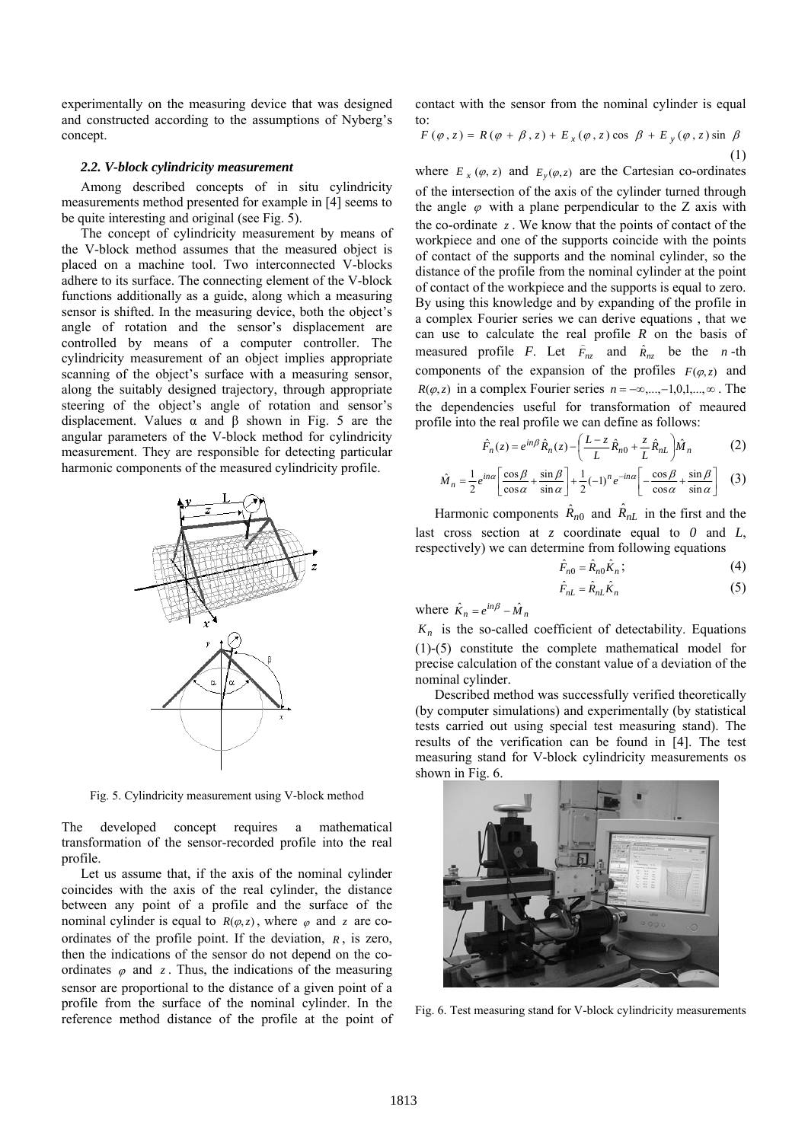experimentally on the measuring device that was designed and constructed according to the assumptions of Nyberg's concept.

#### *2.2. V-block cylindricity measurement*

Among described concepts of in situ cylindricity measurements method presented for example in [4] seems to be quite interesting and original (see Fig. 5).

The concept of cylindricity measurement by means of the V-block method assumes that the measured object is placed on a machine tool. Two interconnected V-blocks adhere to its surface. The connecting element of the V-block functions additionally as a guide, along which a measuring sensor is shifted. In the measuring device, both the object's angle of rotation and the sensor's displacement are controlled by means of a computer controller. The cylindricity measurement of an object implies appropriate scanning of the object's surface with a measuring sensor, along the suitably designed trajectory, through appropriate steering of the object's angle of rotation and sensor's displacement. Values  $\alpha$  and  $\beta$  shown in Fig. 5 are the angular parameters of the V-block method for cylindricity measurement. They are responsible for detecting particular harmonic components of the measured cylindricity profile.



Fig. 5. Cylindricity measurement using V-block method

The developed concept requires a mathematical transformation of the sensor-recorded profile into the real profile.

Let us assume that, if the axis of the nominal cylinder coincides with the axis of the real cylinder, the distance between any point of a profile and the surface of the nominal cylinder is equal to  $R(\varphi, z)$ , where  $\varphi$  and *z* are coordinates of the profile point. If the deviation, *R* , is zero, then the indications of the sensor do not depend on the coordinates  $\varphi$  and  $z$ . Thus, the indications of the measuring sensor are proportional to the distance of a given point of a profile from the surface of the nominal cylinder. In the reference method distance of the profile at the point of contact with the sensor from the nominal cylinder is equal to:

$$
F(\varphi, z) = R(\varphi + \beta, z) + E_x(\varphi, z) \cos \beta + E_y(\varphi, z) \sin \beta
$$
  
(1)

where  $E_x(\varphi, z)$  and  $E_y(\varphi, z)$  are the Cartesian co-ordinates of the intersection of the axis of the cylinder turned through the angle  $\varphi$  with a plane perpendicular to the Z axis with the co-ordinate  $z$ . We know that the points of contact of the workpiece and one of the supports coincide with the points of contact of the supports and the nominal cylinder, so the distance of the profile from the nominal cylinder at the point of contact of the workpiece and the supports is equal to zero. By using this knowledge and by expanding of the profile in a complex Fourier series we can derive equations , that we can use to calculate the real profile *R* on the basis of measured profile *F*. Let  $\hat{F}_{nz}$  and  $\hat{R}_{nz}$  be the *n*-th components of the expansion of the profiles  $F(\varphi, z)$  and  $R(\varphi, z)$  in a complex Fourier series  $n = -\infty, ..., -1, 0, 1, ..., \infty$ . The the dependencies useful for transformation of meaured profile into the real profile we can define as follows:

$$
\hat{F}_n(z) = e^{in\beta} \hat{R}_n(z) - \left(\frac{L-z}{L} \hat{R}_{n0} + \frac{z}{L} \hat{R}_{nL}\right) \hat{M}_n
$$
 (2)

$$
\hat{M}_n = \frac{1}{2} e^{in\alpha} \left[ \frac{\cos \beta}{\cos \alpha} + \frac{\sin \beta}{\sin \alpha} \right] + \frac{1}{2} (-1)^n e^{-in\alpha} \left[ -\frac{\cos \beta}{\cos \alpha} + \frac{\sin \beta}{\sin \alpha} \right] \tag{3}
$$

Harmonic components  $\hat{R}_{n0}$  and  $\hat{R}_{nL}$  in the first and the last cross section at *z* coordinate equal to *0* and *L*, respectively) we can determine from following equations

$$
\hat{F}_{n0} = \hat{R}_{n0} \hat{K}_n; \tag{4}
$$

$$
\hat{F}_{nL} = \hat{R}_{nL}\hat{K}_n \tag{5}
$$

where  $\hat{K}_n = e^{in\beta} - \hat{M}_n$ 

 $K_n$  is the so-called coefficient of detectability. Equations (1)-(5) constitute the complete mathematical model for precise calculation of the constant value of a deviation of the nominal cylinder.

Described method was successfully verified theoretically (by computer simulations) and experimentally (by statistical tests carried out using special test measuring stand). The results of the verification can be found in [4]. The test measuring stand for V-block cylindricity measurements os shown in Fig. 6.



Fig. 6. Test measuring stand for V-block cylindricity measurements